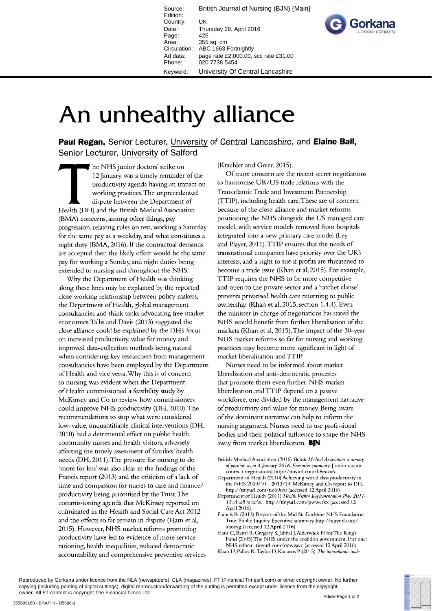Source: British Journal of Nursing (BJN) {Main} Edition: Country: UK Date: Thursday 28, April 2016 Page: 426<br>Area: 355 355 sq. cm Circulation: ABC 1663 Fortnightly Ad data: page rate £2,000.00, scc rate £31.00 Phone: 020 7738 5454 Keyword: University Of Central Lancashire



## An unhealthy alliance

Paul Regan, Senior Lecturer, University of Central Lancashire, and Elaine Ball, Senior Lecturer, University of Salford

he NHS junior doctors' strike on 12 January was a timely reminder of the productivity agenda having an impact on working practices. The unprecedented dispute between the Department of Health (DH) and the British Medical Association (BMA) concerns, among other things, pay progression, relaxing rules on rest, working a Saturday for the same pay as a weekday, and what constitutes a night duty (BMA, 2016). If the contractual demands are accepted then the likely effect would be the same pay for working a Sunday, and night duties being extended to nursing and throughout the NHS.

Why the Department of Health was thinking along these lines may be explained by the reported close working relationship between policy makers, the Department of Health, global management consultancies and think tanks advocating free market economics. Tallis and Davis (2013) suggested the close alliance could be explained by the DH's focus on increased productivity, value for money and improved data-collection methods being natural when considering key researchers from management consultancies have been employed by the Department of Health and vice versa. Why this is of concern to nursing was evident when the Department of Health commissioned a feasibility study by McKinsey and Co to review how commissioners could improve NHS productivity (DH, 2010). The recommendations to stop what were considered low-value, unquantifiable clinical interventions (DH, 2010) had a detrimental effect on public health, community nurses and health visitors, adversely affecting the timely assessment of families' health needs (DH, 2011). The pressure for nursing to do 'more for less' was also clear in the findings of the Francis report (2013) and the criticism of a lack of time and compassion for nurses to care and finance/ productivity being prioritised by the Trust. The commissioning agenda that McKinsey reported on culminated in the Health and Social Care Act 2012 and the effects so far remain in dispute (Ham et al, 2015). However, NHS market reforms promoting productivity have led to evidence of more service rationing, health inequalities, reduced democratic accountability and comprehensive preventive services

(Krachler and Greer, 2015).

Of more concern are the recent secret negotiations to harmonise UK/US trade relations with the Transatlantic Trade and Investment Partnership (TTIP), including health care. These are of concern because of the close alliance and market reforms positioning the NHS alongside the US managed care model, with service models removed from hospitals integrated into a new primary care model (Ley and Player, 2011). TTIP ensures that the needs of transnational companies have priority over the UK's interests, and a right to sue if profits are threatened to become a trade issue (Khan et al, 2015). For example, TTIP requires the NHS to be more competitive and open to the private sector and a 'ratchet clause' prevents privatised health care returning to public ownership (Khan et al, 2015, section 1.4.4). Even the minister in charge of negotiations has stated the NHS would benefit from further liberalisation of the markets (Khan et al, 2015). The impact of the 30-year NHS market reforms so far for nursing and working practices may become more significant in light of market liberalisation and TTIP.

Nurses need to be informed about market liberalisation and anti-democratic processes that promote them even further. NHS market liberalisation and TTIP depend on a passive workforce, one divided by the management narrative of productivity and value for money. Being aware of the dominant narrative can help to inform the nursing argument. Nurses need to use professional bodies and their political influence to shape the NHS away from market liberalisation. BIN

- Department of Health (2010) Achieving world class productivity in the NHS 2009/10-2013/14. McKinsey and Co report to DH. http://tinyurl.com/no69scu (accessed 12 April 2016)
- Department of Health (2011) Health Visitor Implementation Plan 2011-15: A call to action. http://tinyurl.com/pwwcrkx (accessed 12 April 2016)
- Francis R (2013) Report of the Mid Staffordshire NHS Foundation Trust Public Inquiry. Executive summary. http://tinyurl.com/ lcsocyg (accessed 12 April 2016)
- Ham C, Baird B, Gregory S, Jabbal J, Alderwick H for The King's Fund (2105) The NHS under the coalition government. Part one: NHS reform. tinyurl.com/opwgavc (accessed 12 April 2016) Khan U, Pallot R, Taylor D, Kanavos P (2015) The transatlantic trade

Reproduced by Gorkana under licence from the NLA (newspapers), CLA (magazines), FT (Financial Times/ft.com) or other copyright owner. No further copying (including printing of digital cuttings), digital reproduction/forwarding of the cutting is permitted except under licence from the copyright owner. All FT content is copyright The Financial Times Ltd.

British Medical Association (2016) British Medical Association summary of position as at 4 January 2016. Executive summary. [Junior doctor contract negotiations] http://tinyurl.com/h8euzx6